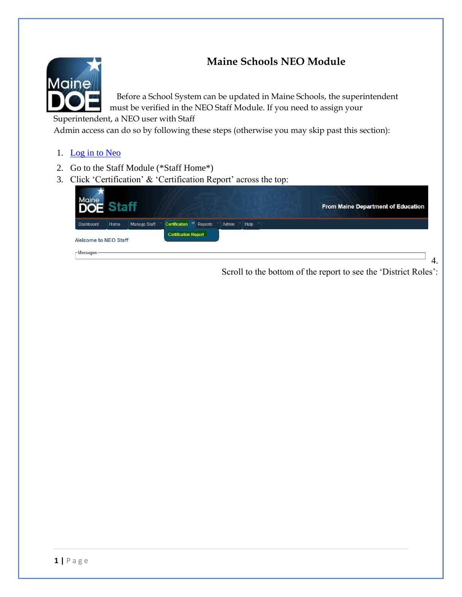## **Maine Schools NEO Module**



Before a School System can be updated in Maine Schools, the superintendent must be verified in the NEO Staff Module. If you need to assign your

Superintendent, a NEO user with Staff

Admin access can do so by following these steps (otherwise you may skip past this section):

- 1. Log in to Neo
- 2. Go to the Staff Module (\*Staff Home\*)
- 3. Click 'Certification' & 'Certification Report' across the top:

| Maine Staff                 |      |                     |                                                 | <b>From Maine Department of Education</b> |
|-----------------------------|------|---------------------|-------------------------------------------------|-------------------------------------------|
| Dashboard                   | Home | <b>Manage Staff</b> | Certification $\infty$ Reports<br>Help<br>Admin |                                           |
| <b>Nelcome to NEO Staff</b> |      |                     | <b>Certification Report</b>                     |                                           |
| -Messages-                  |      |                     |                                                 | 4.                                        |

Scroll to the bottom of the report to see the 'District Roles':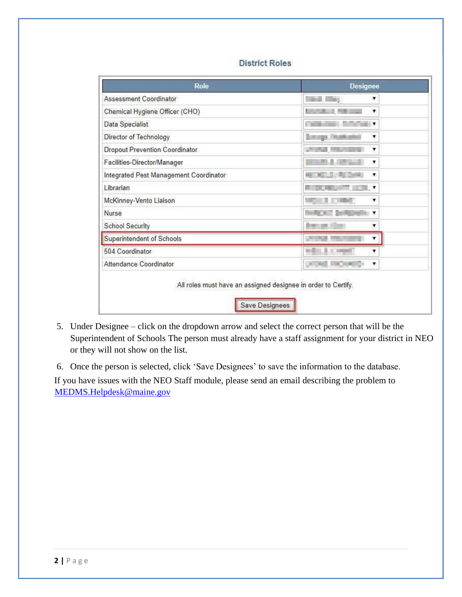| <b>Role</b>                            | <b>Designee</b>                                     |  |  |
|----------------------------------------|-----------------------------------------------------|--|--|
| Assessment Coordinator                 | <b>THE TWO</b><br>▼                                 |  |  |
| Chemical Hygiene Officer (CHO)         | <b>Controller of the Controller Controller</b><br>۷ |  |  |
| Data Specialist                        | <b>BLACK</b><br>▼                                   |  |  |
| Director of Technology                 | i - ga litati e<br>۳                                |  |  |
| Dropout Prevention Coordinator         | <b>PARTIES</b><br>▼                                 |  |  |
| Facilities-Director/Manager            | ۷                                                   |  |  |
| Integrated Pest Management Coordinator | <b>NE LE RE Bonn</b><br>v                           |  |  |
| Librarian                              | <b>ENGINEERING CONTROLL TO BE A</b>                 |  |  |
| McKinney-Vento Liaison                 | ۷                                                   |  |  |
| Nurse                                  | $-1.74$                                             |  |  |
| <b>School Security</b>                 | ▼                                                   |  |  |
| Superintendent of Schools              | ۳                                                   |  |  |
| 504 Coordinator                        | ▼                                                   |  |  |
| Attendance Coordinator                 | 自分画                                                 |  |  |

## **District Roles**

5. Under Designee – click on the dropdown arrow and select the correct person that will be the Superintendent of Schools The person must already have a staff assignment for your district in NEO or they will not show on the list.

6. Once the person is selected, click 'Save Designees' to save the information to the database. If you have issues with the NEO Staff module, please send an email describing the problem to MEDMS.Helpdesk@maine.gov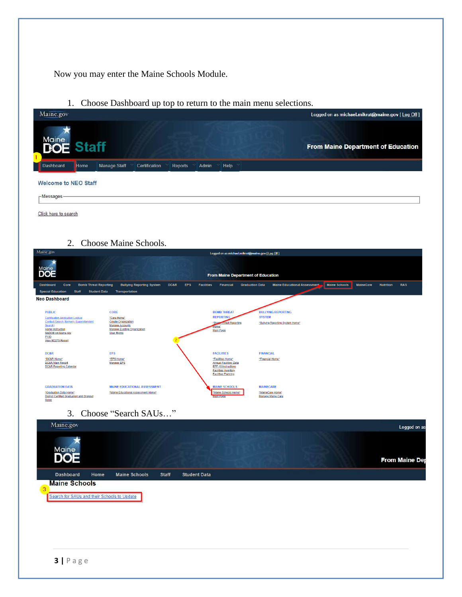Now you may enter the Maine Schools Module.

1. Choose Dashboard up top to return to the main menu selections.

| <b>Maine</b><br><b>DOE Staff</b>                                                              |                                                                            |                                                                             |                                                        | From Maine Department of Education |                               |                       |
|-----------------------------------------------------------------------------------------------|----------------------------------------------------------------------------|-----------------------------------------------------------------------------|--------------------------------------------------------|------------------------------------|-------------------------------|-----------------------|
| Dashboard<br>Home                                                                             | <b>Manage Staff</b><br>Certification<br>Reports                            | Help<br>Admin                                                               |                                                        |                                    |                               |                       |
| <b>Welcome to NEO Staff</b>                                                                   |                                                                            |                                                                             |                                                        |                                    |                               |                       |
| r-Messages-                                                                                   |                                                                            |                                                                             |                                                        |                                    |                               |                       |
| Click here to search                                                                          |                                                                            |                                                                             |                                                        |                                    |                               |                       |
|                                                                                               |                                                                            |                                                                             |                                                        |                                    |                               |                       |
| 2.                                                                                            | Choose Maine Schools.                                                      |                                                                             |                                                        |                                    |                               |                       |
| Maine.gov                                                                                     |                                                                            | Logged on as michael.mikrut@maine.gov [Log Off]                             |                                                        |                                    |                               |                       |
| <b>Maine</b><br><b>DOE</b>                                                                    |                                                                            |                                                                             |                                                        |                                    |                               |                       |
| <b>Bomb Threat Reporting</b><br><b>Dashboard</b><br>Core                                      | <b>Bullying Reporting System</b><br>DC&R                                   | From Maine Department of Education<br>EPS<br><b>Facilities</b><br>Financial | <b>Graduation Data</b><br>Maine Educational Assessment | Maine Schools                      | MaineCare<br><b>Nutrition</b> | <b>RAS</b>            |
| <b>Special Education</b><br><b>Staff</b><br><b>Neo Dashboard</b>                              | <b>Student Data</b><br>Transportation                                      |                                                                             |                                                        |                                    |                               |                       |
| <b>PUBLIC</b>                                                                                 | <b>CORE</b>                                                                | <b>BOMB THREAT</b>                                                          | <b>BULLYING REPORTING</b>                              |                                    |                               |                       |
| <b>Certification Application Lookup</b><br>Contact Search (formerly Superintendent<br>Search) | *Core Home*<br><b>Create Organization</b><br><b>Manage Accounts</b>        | <b>REPORTING</b><br>*Bog<br>Inreat Reporting<br>Home*                       | <b>SYSTEM</b><br>*Bullying Reporting System Home*      |                                    |                               |                       |
| Home Instruction<br>MeDOE on Maine.gov<br>P <sub>100</sub><br>View ED279 Report               | Manage Existing Organization<br><b>User Rights</b>                         | Main Page                                                                   |                                                        |                                    |                               |                       |
| DC&R                                                                                          | <b>EPS</b>                                                                 | <b>FACILITIES</b>                                                           | <b>FINANCIAL</b>                                       |                                    |                               |                       |
| *DC&R Home*<br><b>DC&amp;R Main Report</b><br><b>DC&amp;R Reporting Calendar</b>              | *EPS Home*<br>Manage EPS                                                   | *Facilities Home*<br><b>Annual Facilities Data</b><br>EFF-10 Instructions   | *Financial Home*                                       |                                    |                               |                       |
|                                                                                               |                                                                            | <b>Facilities Inventory</b><br><b>Facilities Planning</b>                   |                                                        |                                    |                               |                       |
| <b>GRADUATION DATA</b><br>*Graduation Data Home*                                              | <b>MAINE EDUCATIONAL ASSESSMENT</b><br>*Maine Educational Assessment Home* | <b>MAINE SCHOOLS</b><br>*Maine Schools Home*                                | <b>MAINECARE</b><br>*MaineCare Home*                   |                                    |                               |                       |
| <b>District Certified Graduation and Dropout</b><br>Rates                                     |                                                                            | Main Page                                                                   | Manage Maine Care                                      |                                    |                               |                       |
| 3.                                                                                            | Choose "Search SAUs"                                                       |                                                                             |                                                        |                                    |                               |                       |
| Maine.gov                                                                                     |                                                                            |                                                                             |                                                        |                                    |                               | Logged on as          |
|                                                                                               |                                                                            |                                                                             |                                                        |                                    |                               |                       |
| Maine                                                                                         |                                                                            |                                                                             |                                                        |                                    |                               | <b>From Maine Dep</b> |
| Dashboard<br>Home                                                                             | <b>Maine Schools</b><br><b>Staff</b>                                       | <b>Student Data</b>                                                         |                                                        |                                    |                               |                       |
| <b>Maine Schools</b><br>3                                                                     |                                                                            |                                                                             |                                                        |                                    |                               |                       |
| Search for SAUs and their Schools to Update                                                   |                                                                            |                                                                             |                                                        |                                    |                               |                       |
|                                                                                               |                                                                            |                                                                             |                                                        |                                    |                               |                       |
|                                                                                               |                                                                            |                                                                             |                                                        |                                    |                               |                       |
|                                                                                               |                                                                            |                                                                             |                                                        |                                    |                               |                       |
|                                                                                               |                                                                            |                                                                             |                                                        |                                    |                               |                       |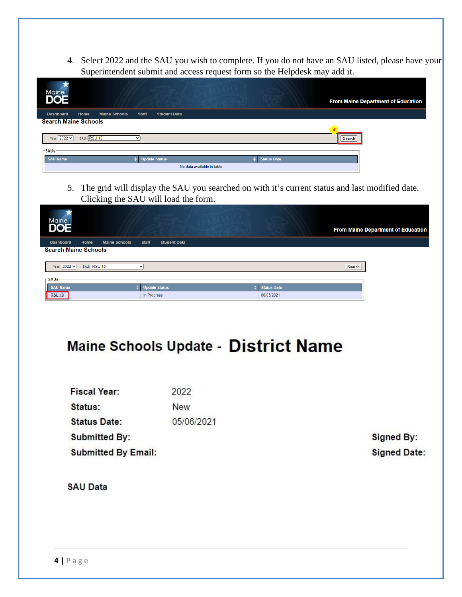4. Select 2022 and the SAU you wish to complete. If you do not have an SAU listed, please have your Superintendent submit and access request form so the Helpdesk may add it.

| Maine<br><b>DOE</b>                              |                                     |                    | From Maine Department of Education |
|--------------------------------------------------|-------------------------------------|--------------------|------------------------------------|
| <b>Maine Schools</b><br>Home<br><b>Dashboard</b> | <b>Staff</b><br><b>Student Data</b> |                    |                                    |
| <b>Search Maine Schools</b>                      |                                     |                    |                                    |
| SAU: RSU 10<br>Year: $2022 \times$               |                                     |                    | Search                             |
| $\Gamma$ SAUs                                    |                                     |                    |                                    |
| <b>SAU Name</b>                                  | <b>Update Status</b>                | <b>Status Date</b> |                                    |
|                                                  | No data available in table          |                    |                                    |

5. The grid will display the SAU you searched on with it's current status and last modified date. Clicking the SAU will load the form.

| Maine<br><b>DOE</b>            |                              |                      |                     |                    |        | <b>From Maine Department of Education</b> |
|--------------------------------|------------------------------|----------------------|---------------------|--------------------|--------|-------------------------------------------|
| <b>Dashboard</b>               | Home<br><b>Maine Schools</b> | <b>Staff</b>         | <b>Student Data</b> |                    |        |                                           |
| <b>Search Maine Schools</b>    |                              |                      |                     |                    |        |                                           |
| Year: 2022 v<br>$\Gamma$ SAUs- | SAU: RSU 10                  | $\checkmark$         |                     |                    | Search |                                           |
| <b>SAU Name</b>                |                              | <b>Update Status</b> |                     | <b>Status Date</b> |        |                                           |
| <b>RSU 10</b>                  |                              | In Progress          |                     | 06/03/2021         |        |                                           |

## Maine Schools Update - District Name

| <b>Fiscal Year:</b>        | 2022       |
|----------------------------|------------|
| Status:                    | <b>New</b> |
| <b>Status Date:</b>        | 05/06/2021 |
| <b>Submitted By:</b>       |            |
| <b>Submitted By Email:</b> |            |

Signed By: **Signed Date:** 

I

**SAU Data**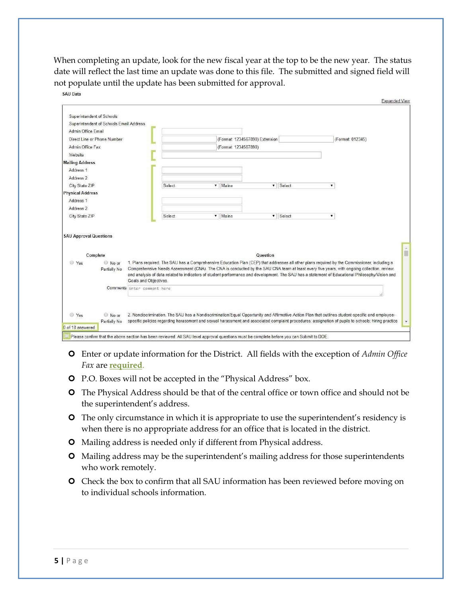When completing an update, look for the new fiscal year at the top to be the new year. The status date will reflect the last time an update was done to this file. The submitted and signed field will not populate until the update has been submitted for approval.



- Enter or update information for the District. All fields with the exception of *Admin Office Fax* are **required**.
- P.O. Boxes will not be accepted in the "Physical Address" box.
- The Physical Address should be that of the central office or town office and should not be the superintendent's address.
- The only circumstance in which it is appropriate to use the superintendent's residency is when there is no appropriate address for an office that is located in the district.
- Mailing address is needed only if different from Physical address.
- Mailing address may be the superintendent's mailing address for those superintendents who work remotely.
- **O** Check the box to confirm that all SAU information has been reviewed before moving on to individual schools information.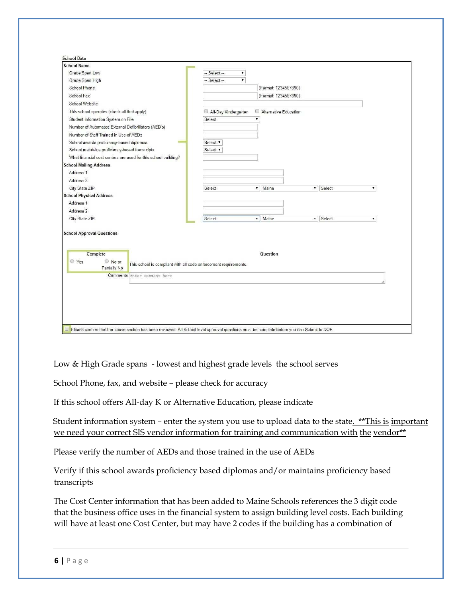| (Format: 1234567890)<br>(Format: 1234567890)<br>Alternative Education |
|-----------------------------------------------------------------------|
|                                                                       |
|                                                                       |
|                                                                       |
|                                                                       |
|                                                                       |
|                                                                       |
|                                                                       |
|                                                                       |
|                                                                       |
|                                                                       |
|                                                                       |
|                                                                       |
|                                                                       |
|                                                                       |
|                                                                       |
| v   Maine<br>Select<br>$\pmb{\nabla}$<br>$\blacktriangledown$         |
|                                                                       |
|                                                                       |
|                                                                       |
| v   Maine<br>$\blacktriangledown$<br>Select<br>$\blacktriangledown$   |
| Question                                                              |
|                                                                       |
|                                                                       |
|                                                                       |
|                                                                       |

Low & High Grade spans - lowest and highest grade levels the school serves

School Phone, fax, and website – please check for accuracy

If this school offers All-day K or Alternative Education, please indicate

Student information system - enter the system you use to upload data to the state. \*\*This is important we need your correct SIS vendor information for training and communication with the vendor\*\*

Please verify the number of AEDs and those trained in the use of AEDs

Verify if this school awards proficiency based diplomas and/or maintains proficiency based transcripts

The Cost Center information that has been added to Maine Schools references the 3 digit code that the business office uses in the financial system to assign building level costs. Each building will have at least one Cost Center, but may have 2 codes if the building has a combination of